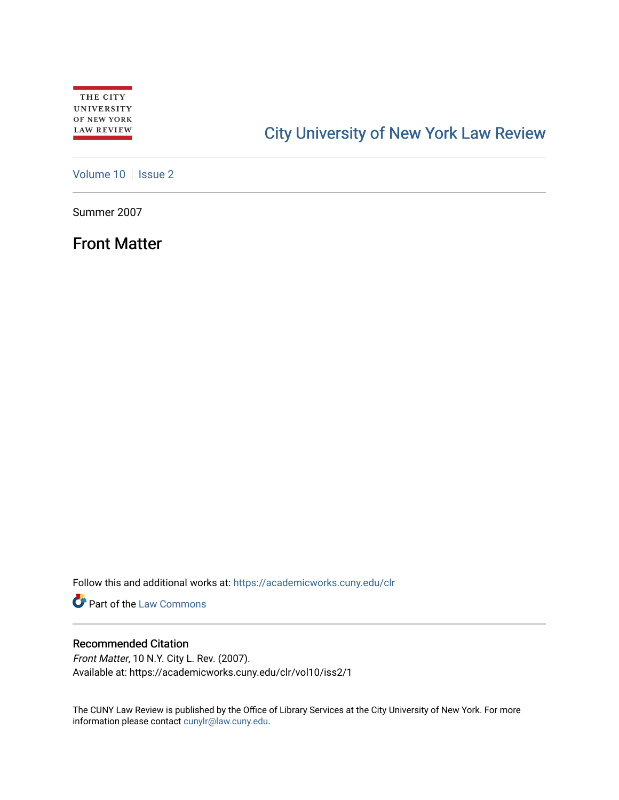## [City University of New York Law Review](https://academicworks.cuny.edu/clr)

[Volume 10](https://academicworks.cuny.edu/clr/vol10) | [Issue 2](https://academicworks.cuny.edu/clr/vol10/iss2)

Summer 2007

Front Matter

Follow this and additional works at: [https://academicworks.cuny.edu/clr](https://academicworks.cuny.edu/clr?utm_source=academicworks.cuny.edu%2Fclr%2Fvol10%2Fiss2%2F1&utm_medium=PDF&utm_campaign=PDFCoverPages) 

**Part of the [Law Commons](http://network.bepress.com/hgg/discipline/578?utm_source=academicworks.cuny.edu%2Fclr%2Fvol10%2Fiss2%2F1&utm_medium=PDF&utm_campaign=PDFCoverPages)** 

## Recommended Citation

Front Matter, 10 N.Y. City L. Rev. (2007). Available at: https://academicworks.cuny.edu/clr/vol10/iss2/1

The CUNY Law Review is published by the Office of Library Services at the City University of New York. For more information please contact [cunylr@law.cuny.edu](mailto:cunylr@law.cuny.edu).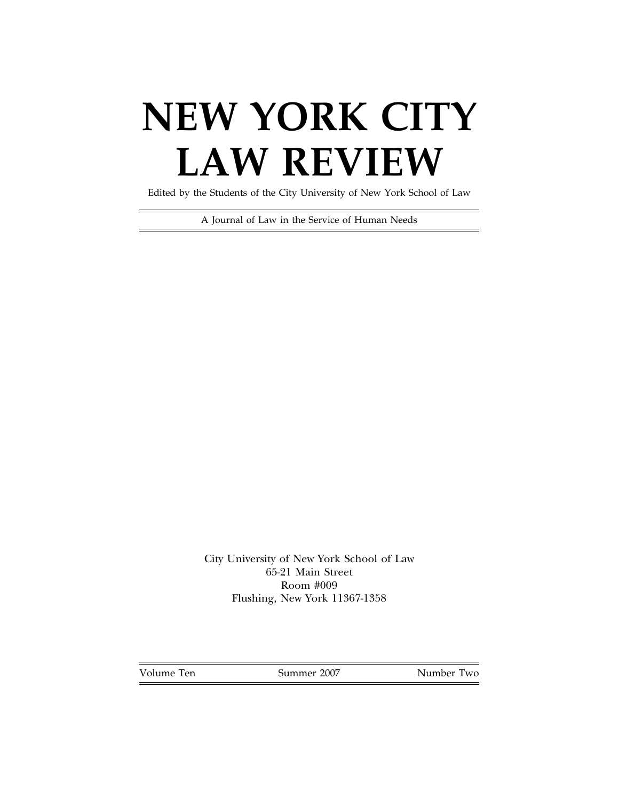Edited by the Students of the City University of New York School of Law

A Journal of Law in the Service of Human Needs

City University of New York School of Law 65-21 Main Street Room #009 Flushing, New York 11367-1358

Volume Ten Summer 2007 Number Two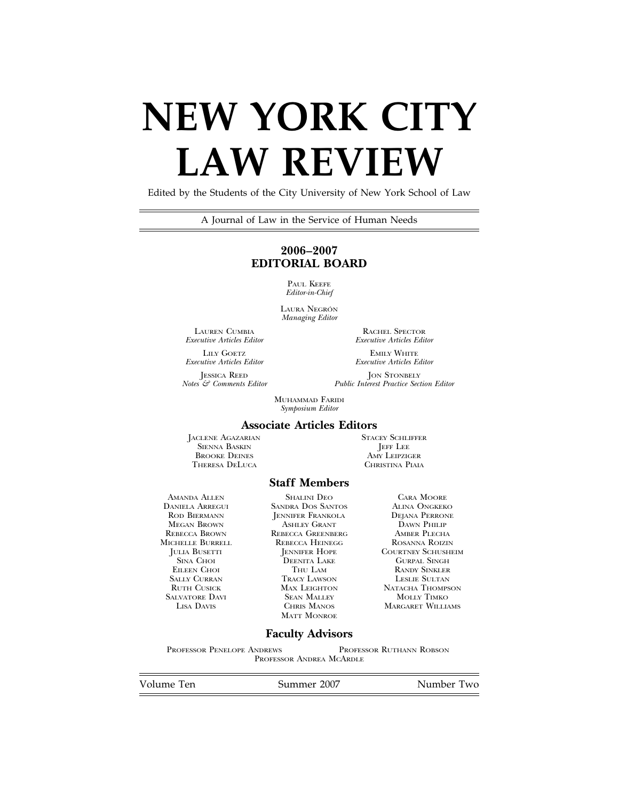Edited by the Students of the City University of New York School of Law

A Journal of Law in the Service of Human Needs

### **2006–2007 EDITORIAL BOARD**

PAUL KEEFE *Editor-in-Chief*

LAURA NEGRÓN *Managing Editor*

LAUREN CUMBIA<br>
Executive Articles Editor<br>
Executive Articles Editor<br>
Executive Articles Editor

LILY GOETZ<br>
Executive Articles Editor<br>
Executive Articles E

*Executive Articles Editor Executive Articles Editor*

*Executive Articles Editor Executive Articles Editor*

JESSICA REED JON STONBELY<br>Notes & Comments Editor Public Interest Practice Sect *Notes & Comments Editor Public Interest Practice Section Editor*

> MUHAMMAD FARIDI *Symposium Editor*

## **Associate Articles Editors**

JACLENE AGAZARIAN STACEY SCHLINE SENNA BASKIN SEER LEE SIENNA BASKIN JEFF LEE BROOKE DEINES AMY LEIPZIGER THERESA DELUCA

#### **Staff Members**

SALVATORE DAVI SEAN MALLEY<br>LISA DAVIS CHRIS MANOS

AMANDA ALLEN SHALINI DEO CARA MOORE DANIELA ARREGUI SANDRA DOS SANTOS ALINA ONGKEKO DANIELA ARREGUI SANDRA DOS SANTOS ALINA ONGKEKO ROD BIERMANN JENNIFER FRANKOLA DEJANA PERRONE DAWN BOOM ASHLEY GRANT DAWN PHILIP MEGAN BROWN ASHLEY GRANT DAWN PHILIP<br>REBECCA BROWN REBECCA GREENBERG AMBER PLECHA REBECCA BROWN REBECCA GREENBERG AMBER PLECHA<br>MICHELLE BURRELL REBECCA HEINEGG ROSANNA ROIZIN MICHELLE BURRELL REBECCA HEINEGG ROSANNA ROIZIN JULIA BUSETTI JENNIFER HOPE COURTNEY SCHUSHEIM SINA CHOI DEENITA LAKE GURPAL SINGH EILEEN CHOI THU LAM RANDY SINKLER SALLY CURRAN TRACY LAWSON<br>
RITH CUSICK MAX LEIGHTON MATT MONROE

MAX LEIGHTON NATACHA THOMPSON<br>SEAN MALLEY MOLLY TIMKO **MARGARET WILLIAMS** 

#### **Faculty Advisors**

PROFESSOR PENELOPE ANDREWS PROFESSOR RUTHANN ROBSON PROFESSOR ANDREA MCARDLE

Volume Ten Summer 2007 Number Two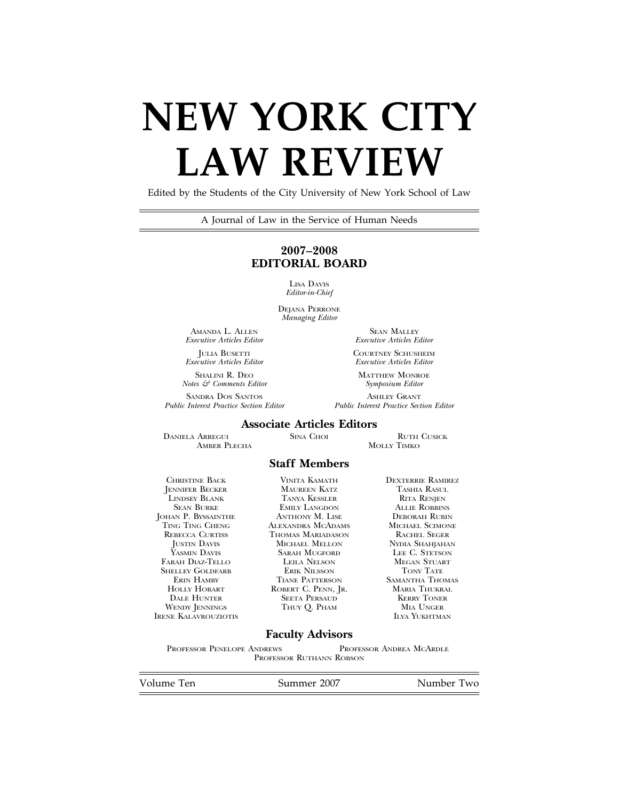Edited by the Students of the City University of New York School of Law

A Journal of Law in the Service of Human Needs

### **2007–2008 EDITORIAL BOARD**

LISA DAVIS *Editor-in-Chief*

DEJANA PERRONE *Managing Editor*

AMANDA L. ALLEN SEAN MALLEY<br>Executive Articles Editor Search Search Search Search Search Search Search Search Search Search Search Search Search Search Search Search Search Search Search Search Search Search Search Search *Executive Articles Editor Executive Articles Editor*

*Executive Articles Editor Executive Articles Editor*

SHALINI R. DEO MATTHEW MONROE (SEE SCHOOL Symposium Editor Symposium Editor *Notes & Comments Editor Symposium Editor*

SANDRA DOS SANTOS ASHLEY GRANT

JULIA BUSETTI COURTNEY SCHUSHEIM

*Public Interest Practice Section Editor Public Interest Practice Section Editor*

## **Associate Articles Editors**

DANIELA ARREGUI SINA CHOI RUTH CUSICK AMBER PLECHA SINA CHOI MOLLY TIMKO AMBER PLECHA

### **Staff Members**

IRENE KALAVROUZIOTIS

JENNIFER BECKER MAUREEN KATZ TASHIA RASUL LINDSEY BLANK TANYA KESSLER RITA RENJEN<br>SEAN BURKE ROBBINS EMILY LANGDON ALLIE ROBBINS EMILY LANGDON ALLIE ROBBINS<br>ANTHONY M. LISE DEBORAH RUBIN **JOHAN P. BYSSAINTHE ANTHONY M. LISE DEBORAH RUBIN**<br>TING TING CHENG ALEXANDRA MCADAMS MICHAEL SCIMONE TING TING CHENG ALEXANDRA MCADAMS MICHAEL SCIMONE EBECCA CURTISS THOMAS MARIADASON RACHEL SEGER<br>TUSTIN DAVIS MICHAEL MELLON NYDIA SHAHJAHAN JUSTIN DAVIS MICHAEL MELLON NYDIA SHAHJAHAN **YARAH MUGFORD LEE C. STETSON LEILA NELSON MEGAN STUART** FARAH DIAZ-TELLO LEILA NELSON MEGAN STUART SHELLEY GOLDFARB ERIK NILSSON TONY TATE ERIN HAMBY TIANE PATTERSON SAMANTHA THOMA<br>HOLLY HOBART ROBERT C. PENN, JR. MARIA THUKRAL HOLLY HOBART ROBERT C. PENN, JR. MARIA THUKRAL DALE HUNTER SEETA PERSAUD KERRY TONER<br>WENDY JENNINGS THUY O. PHAM MIA UNGER

CHRISTINE BACK VINITA KAMATH DEXTERRIE RAMIREZ THUY Q. PHAM MIA UNGER<br>ILYA YUKHTMAN

### **Faculty Advisors**

PROFESSOR PENELOPE ANDREWS PROFESSOR ANDREA MCARDLE PROFESSOR RUTHANN ROBSON

Volume Ten Summer 2007 Number Two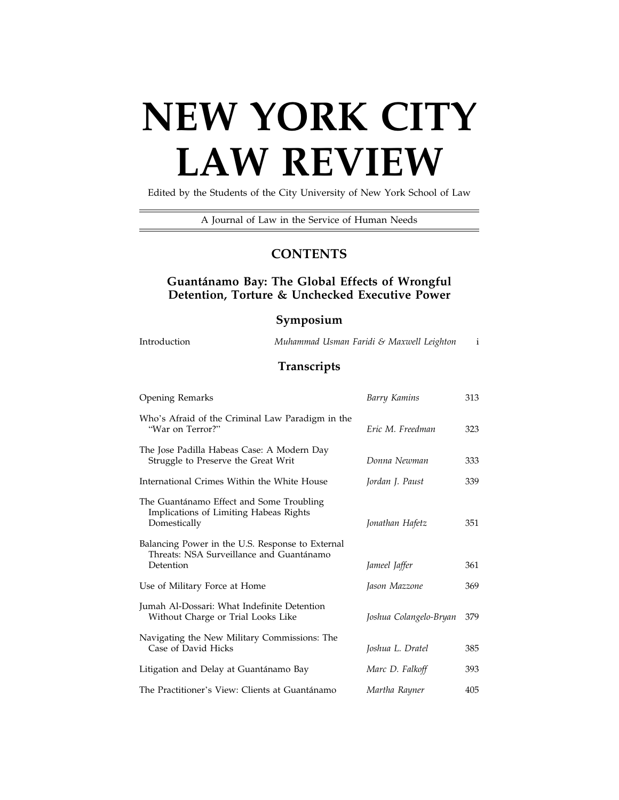Edited by the Students of the City University of New York School of Law

A Journal of Law in the Service of Human Needs

## **CONTENTS**

## Guantánamo Bay: The Global Effects of Wrongful **Detention, Torture & Unchecked Executive Power**

#### **Symposium**

Introduction *Muhammad Usman Faridi & Maxwell Leighton* i

## **Transcripts**

| Opening Remarks                                                                                           | Barry Kamins           | 313 |
|-----------------------------------------------------------------------------------------------------------|------------------------|-----|
| Who's Afraid of the Criminal Law Paradigm in the<br>"War on Terror?"                                      | Eric M. Freedman       | 323 |
| The Jose Padilla Habeas Case: A Modern Day<br>Struggle to Preserve the Great Writ                         | Donna Newman           | 333 |
| International Crimes Within the White House                                                               | Jordan J. Paust        | 339 |
| The Guantánamo Effect and Some Troubling<br>Implications of Limiting Habeas Rights<br>Domestically        | Jonathan Hafetz        | 351 |
| Balancing Power in the U.S. Response to External<br>Threats: NSA Surveillance and Guantánamo<br>Detention | Jameel Jaffer          | 361 |
| Use of Military Force at Home                                                                             | Jason Mazzone          | 369 |
| Jumah Al-Dossari: What Indefinite Detention<br>Without Charge or Trial Looks Like                         | Joshua Colangelo-Bryan | 379 |
| Navigating the New Military Commissions: The<br>Case of David Hicks                                       | Joshua L. Dratel       | 385 |
| Litigation and Delay at Guantánamo Bay                                                                    | Marc D. Falkoff        | 393 |
| The Practitioner's View: Clients at Guantánamo                                                            | Martha Rayner          | 405 |